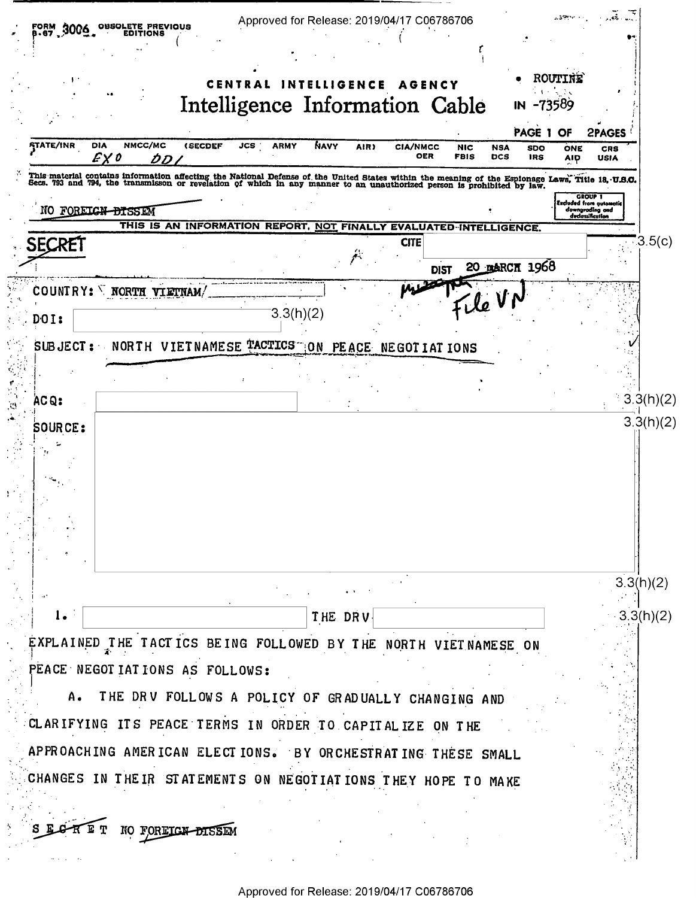| OBSOLETE PREVIQUS<br>3006<br>EDITIONS                      | Approved for Release: 2019/04/17 C06786706                                                                                                                                                                                        |                                                                                  |
|------------------------------------------------------------|-----------------------------------------------------------------------------------------------------------------------------------------------------------------------------------------------------------------------------------|----------------------------------------------------------------------------------|
|                                                            | ROUTINE<br>CENTRAL<br><b>INTELLIGENCE</b><br><b>AGENCY</b><br>Intelligence Information Cable<br>IN -73589                                                                                                                         |                                                                                  |
| NMCC/MC<br><b>STATE/INR</b><br><b>DIA</b><br>E X 0<br>DD L | PAGE 1 OF<br>NAVY<br><b>(SECDEF</b><br>JCS<br><b>ARMY</b><br>AIR)<br><b>CIA/NMCC</b><br><b>NIC</b><br><b>NSA</b><br><b>SDO</b><br><b>OER</b><br><b>FBIS</b><br><b>DCS</b><br><b>IRS</b>                                           | <b>2PAGES</b><br>ONE<br><b>CRS</b><br>AIP<br><b>USIA</b>                         |
|                                                            | This material contains information affecting the National Defense of the United States within the meaning of the Espionage Laws, Title 18, U.S.O.<br>Secs. 793 and 794, the transmisson or revelation of which in any manner to a |                                                                                  |
| NO FOREIGN DISSEM                                          |                                                                                                                                                                                                                                   | <b>GROUP 1</b><br>Excluded from automatic<br>downgrading and<br>declassification |
| SECRET                                                     | THIS IS AN INFORMATION REPORT, NOT FINALLY<br><b>EVAL</b><br>UATED-INTELLIGENCE.<br><b>CITE</b><br>20 ракси 1968<br><b>DIST</b>                                                                                                   | 3.5(c)                                                                           |
| COUNTRY: WORTH VIETNAM                                     |                                                                                                                                                                                                                                   |                                                                                  |
| DOI:                                                       | $\mathcal{L}_{\ell}$ VI<br>3.3(h)(2)                                                                                                                                                                                              |                                                                                  |
|                                                            | SUBJECT: NORTH VIETNAMESE TACTICS ON PEACE NEGOTIATIONS                                                                                                                                                                           |                                                                                  |
|                                                            |                                                                                                                                                                                                                                   |                                                                                  |
| ACQ:                                                       |                                                                                                                                                                                                                                   | 3.3(h)(2)                                                                        |
|                                                            |                                                                                                                                                                                                                                   |                                                                                  |
|                                                            |                                                                                                                                                                                                                                   | 3.3(h)(2)                                                                        |
| $l_{\bullet}$                                              | THE DRV.                                                                                                                                                                                                                          | 3.3(h)(2)                                                                        |
|                                                            | EXPLAINED THE TACTICS BEING FOLLOWED BY THE NORTH VIETNAMESE ON                                                                                                                                                                   |                                                                                  |
| PEACE NEGOTIATIONS AS FOLLOWS:                             |                                                                                                                                                                                                                                   |                                                                                  |
| A.                                                         | THE DRV FOLLOWS A POLICY OF GRADUALLY CHANGING AND                                                                                                                                                                                |                                                                                  |
|                                                            | CLARIFYING ITS PEACE TERMS IN ORDER TO CAPITALIZE ON THE                                                                                                                                                                          |                                                                                  |
|                                                            | APPROACHING AMERICAN ELECTIONS. BY ORCHESTRATING THESE SMALL                                                                                                                                                                      |                                                                                  |
|                                                            | CHANGES IN THEIR STATEMENTS ON NEGOTIATIONS THEY HOPE TO MAKE                                                                                                                                                                     |                                                                                  |
|                                                            |                                                                                                                                                                                                                                   |                                                                                  |
|                                                            | NO FORETGN-DISSEM                                                                                                                                                                                                                 |                                                                                  |
|                                                            |                                                                                                                                                                                                                                   |                                                                                  |